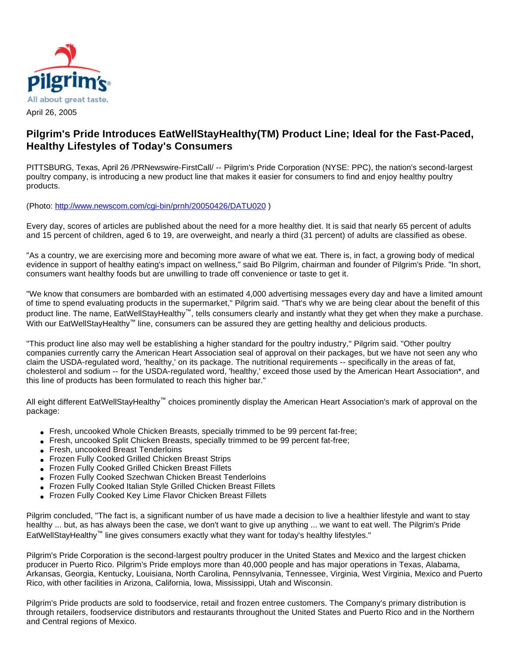

## **Pilgrim's Pride Introduces EatWellStayHealthy(TM) Product Line; Ideal for the Fast-Paced, Healthy Lifestyles of Today's Consumers**

PITTSBURG, Texas, April 26 /PRNewswire-FirstCall/ -- Pilgrim's Pride Corporation (NYSE: PPC), the nation's second-largest poultry company, is introducing a new product line that makes it easier for consumers to find and enjoy healthy poultry products.

(Photo: <http://www.newscom.com/cgi-bin/prnh/20050426/DATU020> )

Every day, scores of articles are published about the need for a more healthy diet. It is said that nearly 65 percent of adults and 15 percent of children, aged 6 to 19, are overweight, and nearly a third (31 percent) of adults are classified as obese.

"As a country, we are exercising more and becoming more aware of what we eat. There is, in fact, a growing body of medical evidence in support of healthy eating's impact on wellness," said Bo Pilgrim, chairman and founder of Pilgrim's Pride. "In short, consumers want healthy foods but are unwilling to trade off convenience or taste to get it.

"We know that consumers are bombarded with an estimated 4,000 advertising messages every day and have a limited amount of time to spend evaluating products in the supermarket," Pilgrim said. "That's why we are being clear about the benefit of this product line. The name, EatWellStayHealthy™, tells consumers clearly and instantly what they get when they make a purchase. With our EatWellStayHealthy™ line, consumers can be assured they are getting healthy and delicious products.

"This product line also may well be establishing a higher standard for the poultry industry," Pilgrim said. "Other poultry companies currently carry the American Heart Association seal of approval on their packages, but we have not seen any who claim the USDA-regulated word, 'healthy,' on its package. The nutritional requirements -- specifically in the areas of fat, cholesterol and sodium -- for the USDA-regulated word, 'healthy,' exceed those used by the American Heart Association\*, and this line of products has been formulated to reach this higher bar."

All eight different EatWellStayHealthy™ choices prominently display the American Heart Association's mark of approval on the package:

- Fresh, uncooked Whole Chicken Breasts, specially trimmed to be 99 percent fat-free;
- Fresh, uncooked Split Chicken Breasts, specially trimmed to be 99 percent fat-free;
- Fresh, uncooked Breast Tenderloins
- Frozen Fully Cooked Grilled Chicken Breast Strips
- Frozen Fully Cooked Grilled Chicken Breast Fillets
- Frozen Fully Cooked Szechwan Chicken Breast Tenderloins
- Frozen Fully Cooked Italian Style Grilled Chicken Breast Fillets
- Frozen Fully Cooked Key Lime Flavor Chicken Breast Fillets

Pilgrim concluded, "The fact is, a significant number of us have made a decision to live a healthier lifestyle and want to stay healthy ... but, as has always been the case, we don't want to give up anything ... we want to eat well. The Pilgrim's Pride EatWellStayHealthy™ line gives consumers exactly what they want for today's healthy lifestyles."

Pilgrim's Pride Corporation is the second-largest poultry producer in the United States and Mexico and the largest chicken producer in Puerto Rico. Pilgrim's Pride employs more than 40,000 people and has major operations in Texas, Alabama, Arkansas, Georgia, Kentucky, Louisiana, North Carolina, Pennsylvania, Tennessee, Virginia, West Virginia, Mexico and Puerto Rico, with other facilities in Arizona, California, Iowa, Mississippi, Utah and Wisconsin.

Pilgrim's Pride products are sold to foodservice, retail and frozen entree customers. The Company's primary distribution is through retailers, foodservice distributors and restaurants throughout the United States and Puerto Rico and in the Northern and Central regions of Mexico.